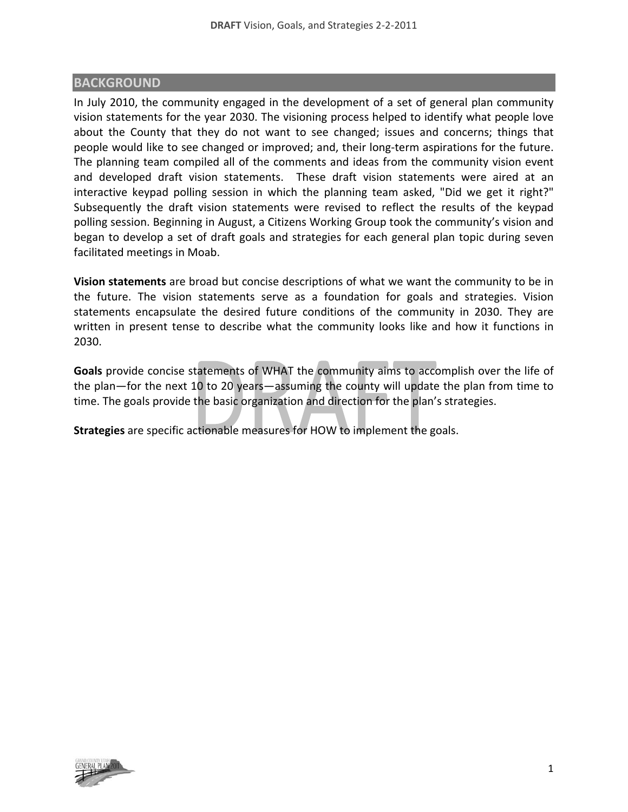#### **BACKGROUND**

In July 2010, the community engaged in the development of a set of general plan community vision statements for the year 2030. The visioning process helped to identify what people love about the County that they do not want to see changed; issues and concerns; things that people would like to see changed or improved; and, their long‐term aspirations for the future. The planning team compiled all of the comments and ideas from the community vision event and developed draft vision statements. These draft vision statements were aired at an interactive keypad polling session in which the planning team asked, "Did we get it right?" Subsequently the draft vision statements were revised to reflect the results of the keypad polling session. Beginning in August, a Citizens Working Group took the community's vision and began to develop a set of draft goals and strategies for each general plan topic during seven facilitated meetings in Moab.

**Vision statements** are broad but concise descriptions of what we want the community to be in the future. The vision statements serve as a foundation for goals and strategies. Vision statements encapsulate the desired future conditions of the community in 2030. They are written in present tense to describe what the community looks like and how it functions in 2030.

**Goals** provide concise statements of WHAT the community aims to accomplish over the life of the plan—for the next 10 to 20 years—assuming the county will update the plan from time to time. The goals provide the basic organization and direction for the plan's strategies.

**Strategies** are specific actionable measures for HOW to implement the goals.

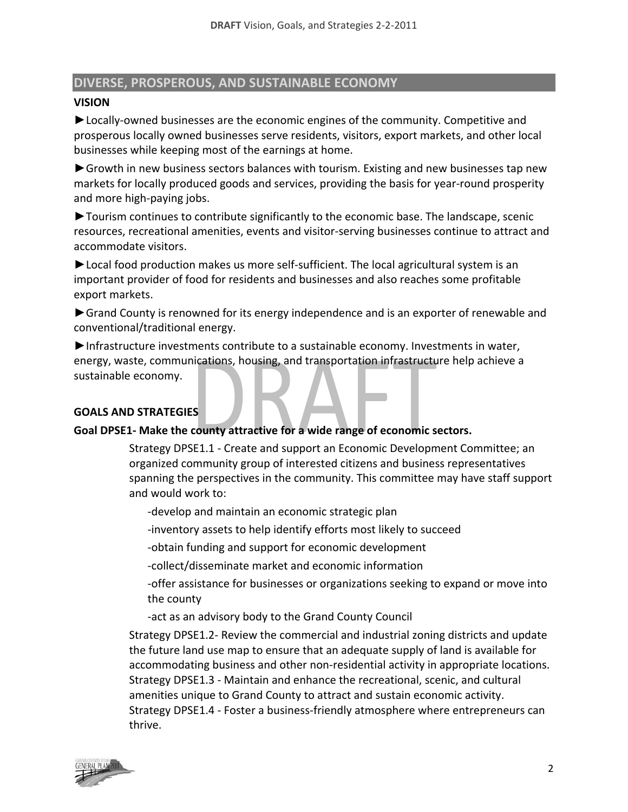# **DIVERSE, PROSPEROUS, AND SUSTAINABLE ECONOMY**

#### **VISION**

►Locally‐owned businesses are the economic engines of the community. Competitive and prosperous locally owned businesses serve residents, visitors, export markets, and other local businesses while keeping most of the earnings at home.

► Growth in new business sectors balances with tourism. Existing and new businesses tap new markets for locally produced goods and services, providing the basis for year‐round prosperity and more high‐paying jobs.

►Tourism continues to contribute significantly to the economic base. The landscape, scenic resources, recreational amenities, events and visitor‐serving businesses continue to attract and accommodate visitors.

►Local food production makes us more self‐sufficient. The local agricultural system is an important provider of food for residents and businesses and also reaches some profitable export markets.

►Grand County is renowned for its energy independence and is an exporter of renewable and conventional/traditional energy.

►Infrastructure investments contribute to a sustainable economy. Investments in water, energy, waste, communications, housing, and transportation infrastructure help achieve a sustainable economy.

# **GOALS AND STRATEGIES**

# **Goal DPSE1‐ Make the county attractive for a wide range of economic sectors.**

Strategy DPSE1.1 ‐ Create and support an Economic Development Committee; an organized community group of interested citizens and business representatives spanning the perspectives in the community. This committee may have staff support and would work to:

‐develop and maintain an economic strategic plan

‐inventory assets to help identify efforts most likely to succeed

‐obtain funding and support for economic development

‐collect/disseminate market and economic information

‐offer assistance for businesses or organizations seeking to expand or move into the county

‐act as an advisory body to the Grand County Council

Strategy DPSE1.2‐ Review the commercial and industrial zoning districts and update the future land use map to ensure that an adequate supply of land is available for accommodating business and other non‐residential activity in appropriate locations. Strategy DPSE1.3 ‐ Maintain and enhance the recreational, scenic, and cultural amenities unique to Grand County to attract and sustain economic activity. Strategy DPSE1.4 ‐ Foster a business‐friendly atmosphere where entrepreneurs can thrive.

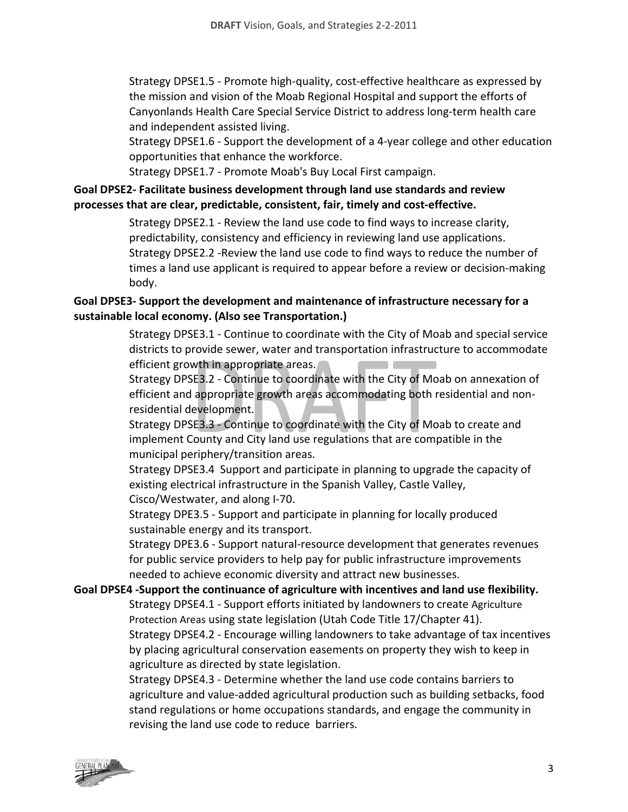Strategy DPSE1.5 ‐ Promote high‐quality, cost‐effective healthcare as expressed by the mission and vision of the Moab Regional Hospital and support the efforts of Canyonlands Health Care Special Service District to address long‐term health care and independent assisted living.

Strategy DPSE1.6 ‐ Support the development of a 4‐year college and other education opportunities that enhance the workforce.

Strategy DPSE1.7 ‐ Promote Moab's Buy Local First campaign.

# **Goal DPSE2‐ Facilitate business development through land use standards and review processes that are clear, predictable, consistent, fair, timely and cost‐effective.**

Strategy DPSE2.1 ‐ Review the land use code to find ways to increase clarity, predictability, consistency and efficiency in reviewing land use applications. Strategy DPSE2.2 ‐Review the land use code to find ways to reduce the number of times a land use applicant is required to appear before a review or decision‐making body.

# **Goal DPSE3‐ Support the development and maintenance of infrastructure necessary for a sustainable local economy. (Also see Transportation.)**

Strategy DPSE3.1 ‐ Continue to coordinate with the City of Moab and special service districts to provide sewer, water and transportation infrastructure to accommodate efficient growth in appropriate areas.

Strategy DPSE3.2 ‐ Continue to coordinate with the City of Moab on annexation of efficient and appropriate growth areas accommodating both residential and non‐ residential development.

Strategy DPSE3.3 ‐ Continue to coordinate with the City of Moab to create and implement County and City land use regulations that are compatible in the municipal periphery/transition areas.

Strategy DPSE3.4 Support and participate in planning to upgrade the capacity of existing electrical infrastructure in the Spanish Valley, Castle Valley, Cisco/Westwater, and along I‐70.

Strategy DPE3.5 ‐ Support and participate in planning for locally produced sustainable energy and its transport.

Strategy DPE3.6 ‐ Support natural‐resource development that generates revenues for public service providers to help pay for public infrastructure improvements needed to achieve economic diversity and attract new businesses.

# **Goal DPSE4 ‐Support the continuance of agriculture with incentives and land use flexibility.**

Strategy DPSE4.1 ‐ Support efforts initiated by landowners to create Agriculture Protection Areas using state legislation (Utah Code Title 17/Chapter 41). Strategy DPSE4.2 ‐ Encourage willing landowners to take advantage of tax incentives by placing agricultural conservation easements on property they wish to keep in agriculture as directed by state legislation.

Strategy DPSE4.3 ‐ Determine whether the land use code contains barriers to agriculture and value‐added agricultural production such as building setbacks, food stand regulations or home occupations standards, and engage the community in revising the land use code to reduce barriers.

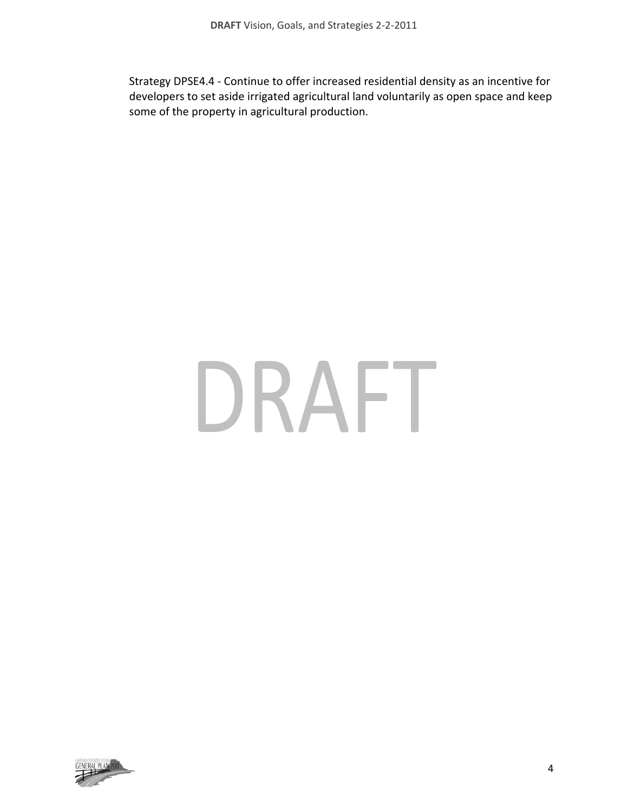Strategy DPSE4.4 ‐ Continue to offer increased residential density as an incentive for developers to set aside irrigated agricultural land voluntarily as open space and keep some of the property in agricultural production.

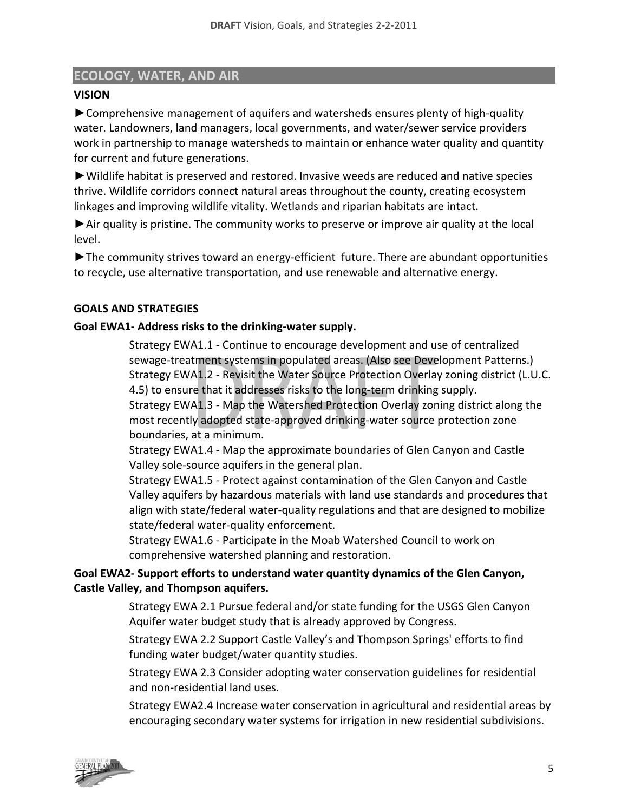# **ECOLOGY, WATER, AND AIR**

# **VISION**

►Comprehensive management of aquifers and watersheds ensures plenty of high‐quality water. Landowners, land managers, local governments, and water/sewer service providers work in partnership to manage watersheds to maintain or enhance water quality and quantity for current and future generations.

►Wildlife habitat is preserved and restored. Invasive weeds are reduced and native species thrive. Wildlife corridors connect natural areas throughout the county, creating ecosystem linkages and improving wildlife vitality. Wetlands and riparian habitats are intact.

►Air quality is pristine. The community works to preserve or improve air quality at the local level.

►The community strives toward an energy‐efficient future. There are abundant opportunities to recycle, use alternative transportation, and use renewable and alternative energy.

# **GOALS AND STRATEGIES**

# **Goal EWA1‐ Address risks to the drinking‐water supply.**

Strategy EWA1.1 ‐ Continue to encourage development and use of centralized sewage-treatment systems in populated areas. (Also see Development Patterns.) Strategy EWA1.2 ‐ Revisit the Water Source Protection Overlay zoning district (L.U.C. 4.5) to ensure that it addresses risks to the long‐term drinking supply.

Strategy EWA1.3 ‐ Map the Watershed Protection Overlay zoning district along the most recently adopted state‐approved drinking‐water source protection zone boundaries, at a minimum.

Strategy EWA1.4 ‐ Map the approximate boundaries of Glen Canyon and Castle Valley sole‐source aquifers in the general plan.

Strategy EWA1.5 ‐ Protect against contamination of the Glen Canyon and Castle Valley aquifers by hazardous materials with land use standards and procedures that align with state/federal water‐quality regulations and that are designed to mobilize state/federal water‐quality enforcement.

Strategy EWA1.6 ‐ Participate in the Moab Watershed Council to work on comprehensive watershed planning and restoration.

# **Goal EWA2‐ Support efforts to understand water quantity dynamics of the Glen Canyon, Castle Valley, and Thompson aquifers.**

Strategy EWA 2.1 Pursue federal and/or state funding for the USGS Glen Canyon Aquifer water budget study that is already approved by Congress.

Strategy EWA 2.2 Support Castle Valley's and Thompson Springs' efforts to find funding water budget/water quantity studies.

Strategy EWA 2.3 Consider adopting water conservation guidelines for residential and non‐residential land uses.

Strategy EWA2.4 Increase water conservation in agricultural and residential areas by encouraging secondary water systems for irrigation in new residential subdivisions.

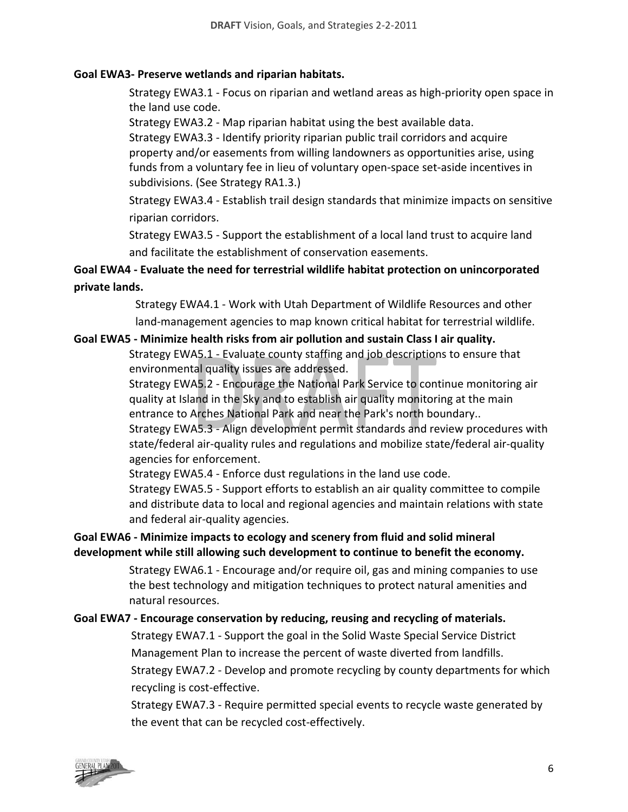#### **Goal EWA3‐ Preserve wetlands and riparian habitats.**

Strategy EWA3.1 ‐ Focus on riparian and wetland areas as high‐priority open space in the land use code.

Strategy EWA3.2 ‐ Map riparian habitat using the best available data.

Strategy EWA3.3 ‐ Identify priority riparian public trail corridors and acquire property and/or easements from willing landowners as opportunities arise, using funds from a voluntary fee in lieu of voluntary open‐space set‐aside incentives in subdivisions. (See Strategy RA1.3.)

Strategy EWA3.4 ‐ Establish trail design standards that minimize impacts on sensitive riparian corridors.

Strategy EWA3.5 ‐ Support the establishment of a local land trust to acquire land and facilitate the establishment of conservation easements.

# **Goal EWA4 ‐ Evaluate the need for terrestrial wildlife habitat protection on unincorporated private lands.**

Strategy EWA4.1 ‐ Work with Utah Department of Wildlife Resources and other land-management agencies to map known critical habitat for terrestrial wildlife.

#### **Goal EWA5 ‐ Minimize health risks from air pollution and sustain Class I air quality.**

Strategy EWA5.1 ‐ Evaluate county staffing and job descriptions to ensure that environmental quality issues are addressed.

Strategy EWA5.2 ‐ Encourage the National Park Service to continue monitoring air quality at Island in the Sky and to establish air quality monitoring at the main entrance to Arches National Park and near the Park's north boundary..

Strategy EWA5.3 ‐ Align development permit standards and review procedures with state/federal air‐quality rules and regulations and mobilize state/federal air‐quality agencies for enforcement.

Strategy EWA5.4 ‐ Enforce dust regulations in the land use code.

Strategy EWA5.5 ‐ Support efforts to establish an air quality committee to compile and distribute data to local and regional agencies and maintain relations with state and federal air‐quality agencies.

# **Goal EWA6 ‐ Minimize impacts to ecology and scenery from fluid and solid mineral development while still allowing such development to continue to benefit the economy.**

Strategy EWA6.1 ‐ Encourage and/or require oil, gas and mining companies to use the best technology and mitigation techniques to protect natural amenities and natural resources.

# **Goal EWA7 ‐ Encourage conservation by reducing, reusing and recycling of materials.**

Strategy EWA7.1 ‐ Support the goal in the Solid Waste Special Service District Management Plan to increase the percent of waste diverted from landfills. Strategy EWA7.2 ‐ Develop and promote recycling by county departments for which recycling is cost‐effective.

Strategy EWA7.3 ‐ Require permitted special events to recycle waste generated by the event that can be recycled cost-effectively.

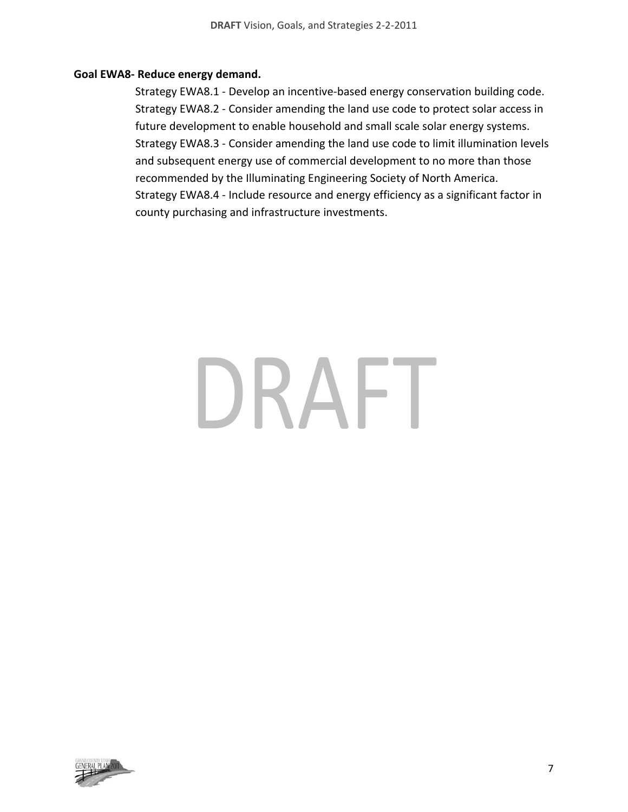#### **Goal EWA8‐ Reduce energy demand.**

Strategy EWA8.1 ‐ Develop an incentive‐based energy conservation building code. Strategy EWA8.2 ‐ Consider amending the land use code to protect solar access in future development to enable household and small scale solar energy systems. Strategy EWA8.3 ‐ Consider amending the land use code to limit illumination levels and subsequent energy use of commercial development to no more than those recommended by the Illuminating Engineering Society of North America. Strategy EWA8.4 ‐ Include resource and energy efficiency as a significant factor in county purchasing and infrastructure investments.

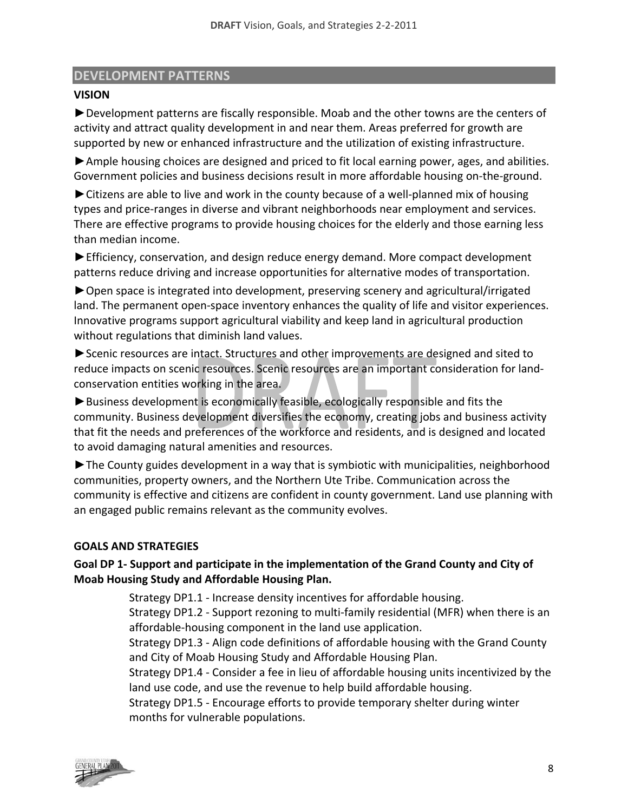# **DEVELOPMENT PATTERNS**

# **VISION**

►Development patterns are fiscally responsible. Moab and the other towns are the centers of activity and attract quality development in and near them. Areas preferred for growth are supported by new or enhanced infrastructure and the utilization of existing infrastructure.

►Ample housing choices are designed and priced to fit local earning power, ages, and abilities. Government policies and business decisions result in more affordable housing on‐the‐ground.

► Citizens are able to live and work in the county because of a well-planned mix of housing types and price‐ranges in diverse and vibrant neighborhoods near employment and services. There are effective programs to provide housing choices for the elderly and those earning less than median income.

►Efficiency, conservation, and design reduce energy demand. More compact development patterns reduce driving and increase opportunities for alternative modes of transportation.

►Open space is integrated into development, preserving scenery and agricultural/irrigated land. The permanent open‐space inventory enhances the quality of life and visitor experiences. Innovative programs support agricultural viability and keep land in agricultural production without regulations that diminish land values.

►Scenic resources are intact. Structures and other improvements are designed and sited to reduce impacts on scenic resources. Scenic resources are an important consideration for land‐ conservation entities working in the area.

► Business development is economically feasible, ecologically responsible and fits the community. Business development diversifies the economy, creating jobs and business activity that fit the needs and preferences of the workforce and residents, and is designed and located to avoid damaging natural amenities and resources.

►The County guides development in a way that is symbiotic with municipalities, neighborhood communities, property owners, and the Northern Ute Tribe. Communication across the community is effective and citizens are confident in county government. Land use planning with an engaged public remains relevant as the community evolves.

# **GOALS AND STRATEGIES**

# **Goal DP 1‐ Support and participate in the implementation of the Grand County and City of Moab Housing Study and Affordable Housing Plan.**

Strategy DP1.1 ‐ Increase density incentives for affordable housing. Strategy DP1.2 ‐ Support rezoning to multi‐family residential (MFR) when there is an affordable‐housing component in the land use application.

Strategy DP1.3 ‐ Align code definitions of affordable housing with the Grand County and City of Moab Housing Study and Affordable Housing Plan.

Strategy DP1.4 ‐ Consider a fee in lieu of affordable housing units incentivized by the land use code, and use the revenue to help build affordable housing.

Strategy DP1.5 ‐ Encourage efforts to provide temporary shelter during winter months for vulnerable populations.

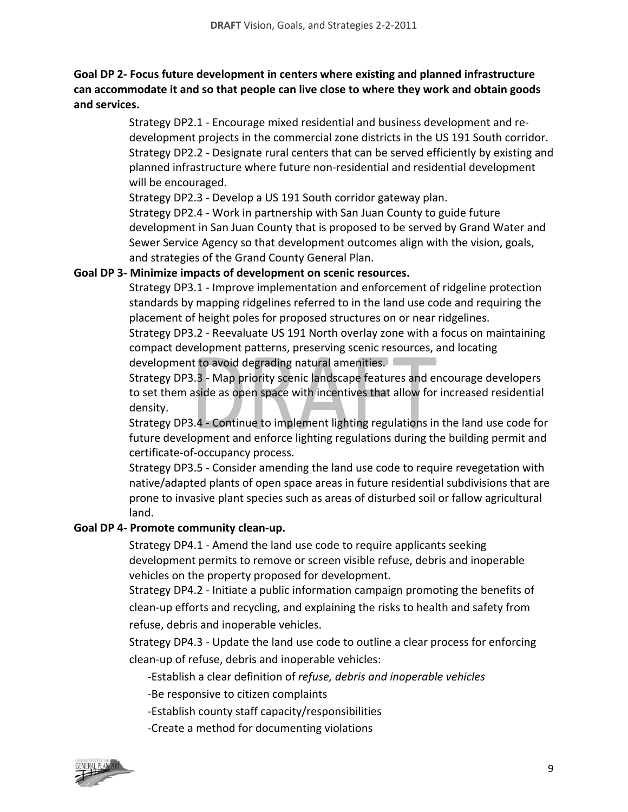# **Goal DP 2‐ Focus future development in centers where existing and planned infrastructure can accommodate it and so that people can live close to where they work and obtain goods and services.**

Strategy DP2.1 ‐ Encourage mixed residential and business development and re‐ development projects in the commercial zone districts in the US 191 South corridor. Strategy DP2.2 ‐ Designate rural centers that can be served efficiently by existing and planned infrastructure where future non‐residential and residential development will be encouraged.

Strategy DP2.3 ‐ Develop a US 191 South corridor gateway plan.

Strategy DP2.4 ‐ Work in partnership with San Juan County to guide future development in San Juan County that is proposed to be served by Grand Water and Sewer Service Agency so that development outcomes align with the vision, goals, and strategies of the Grand County General Plan.

# **Goal DP 3‐ Minimize impacts of development on scenic resources.**

Strategy DP3.1 ‐ Improve implementation and enforcement of ridgeline protection standards by mapping ridgelines referred to in the land use code and requiring the placement of height poles for proposed structures on or near ridgelines.

Strategy DP3.2 ‐ Reevaluate US 191 North overlay zone with a focus on maintaining compact development patterns, preserving scenic resources, and locating development to avoid degrading natural amenities.

Strategy DP3.3 ‐ Map priority scenic landscape features and encourage developers to set them aside as open space with incentives that allow for increased residential density.

Strategy DP3.4 ‐ Continue to implement lighting regulations in the land use code for future development and enforce lighting regulations during the building permit and certificate‐of‐occupancy process.

Strategy DP3.5 ‐ Consider amending the land use code to require revegetation with native/adapted plants of open space areas in future residential subdivisions that are prone to invasive plant species such as areas of disturbed soil or fallow agricultural land.

# **Goal DP 4‐ Promote community clean‐up.**

Strategy DP4.1 ‐ Amend the land use code to require applicants seeking development permits to remove or screen visible refuse, debris and inoperable vehicles on the property proposed for development.

Strategy DP4.2 ‐ Initiate a public information campaign promoting the benefits of clean‐up efforts and recycling, and explaining the risks to health and safety from refuse, debris and inoperable vehicles.

Strategy DP4.3 ‐ Update the land use code to outline a clear process for enforcing clean‐up of refuse, debris and inoperable vehicles:

‐Establish a clear definition of *refuse, debris and inoperable vehicles*

‐Be responsive to citizen complaints

‐Establish county staff capacity/responsibilities

‐Create a method for documenting violations

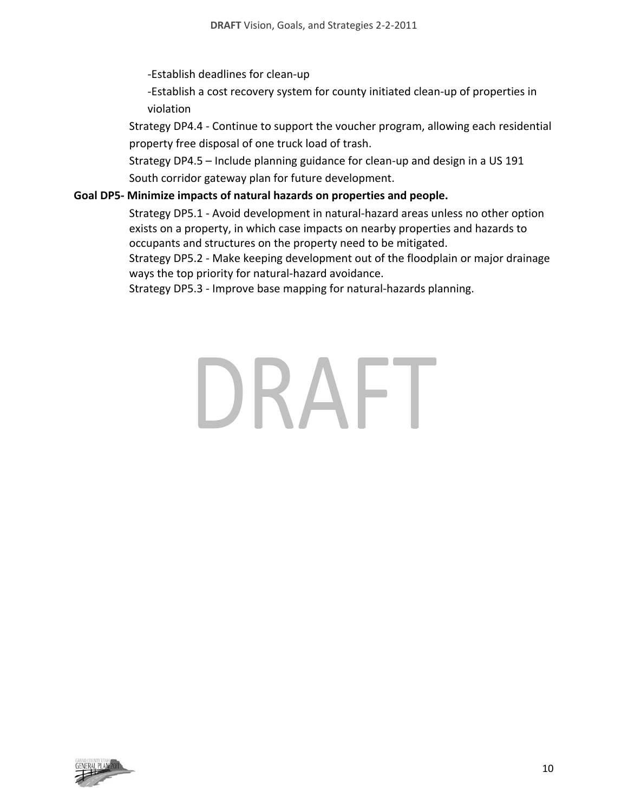‐Establish deadlines for clean‐up

‐Establish a cost recovery system for county initiated clean‐up of properties in violation

Strategy DP4.4 ‐ Continue to support the voucher program, allowing each residential property free disposal of one truck load of trash.

Strategy DP4.5 – Include planning guidance for clean‐up and design in a US 191 South corridor gateway plan for future development.

#### **Goal DP5‐ Minimize impacts of natural hazards on properties and people.**

Strategy DP5.1 ‐ Avoid development in natural‐hazard areas unless no other option exists on a property, in which case impacts on nearby properties and hazards to occupants and structures on the property need to be mitigated.

Strategy DP5.2 ‐ Make keeping development out of the floodplain or major drainage ways the top priority for natural‐hazard avoidance.

Strategy DP5.3 ‐ Improve base mapping for natural‐hazards planning.

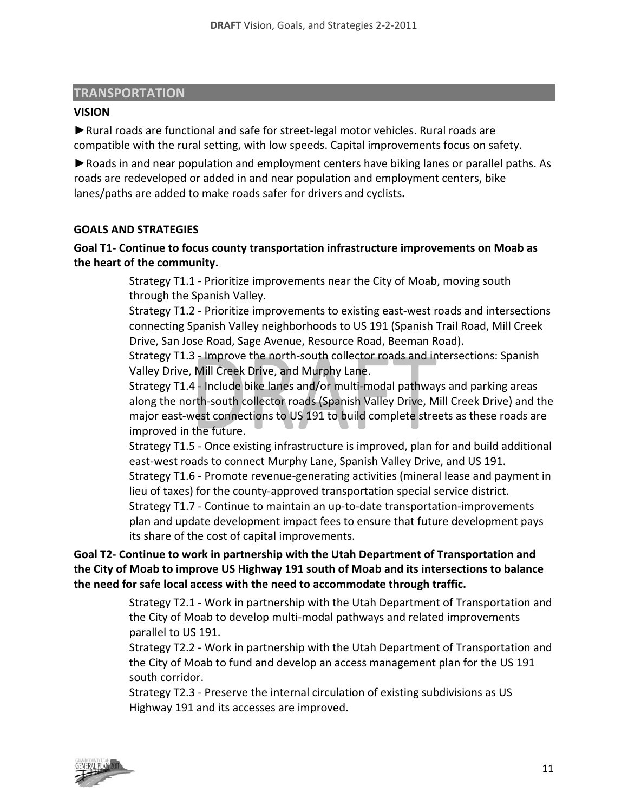#### **TRANSPORTATION**

#### **VISION**

► Rural roads are functional and safe for street-legal motor vehicles. Rural roads are compatible with the rural setting, with low speeds. Capital improvements focus on safety.

►Roads in and near population and employment centers have biking lanes or parallel paths. As roads are redeveloped or added in and near population and employment centers, bike lanes/paths are added to make roads safer for drivers and cyclists**.** 

#### **GOALS AND STRATEGIES**

# **Goal T1‐ Continue to focus county transportation infrastructure improvements on Moab as the heart of the community.**

Strategy T1.1 ‐ Prioritize improvements near the City of Moab, moving south through the Spanish Valley.

Strategy T1.2 - Prioritize improvements to existing east-west roads and intersections connecting Spanish Valley neighborhoods to US 191 (Spanish Trail Road, Mill Creek Drive, San Jose Road, Sage Avenue, Resource Road, Beeman Road).

Strategy T1.3 ‐ Improve the north‐south collector roads and intersections: Spanish Valley Drive, Mill Creek Drive, and Murphy Lane.

Strategy T1.4 ‐ Include bike lanes and/or multi‐modal pathways and parking areas along the north‐south collector roads (Spanish Valley Drive, Mill Creek Drive) and the major east‐west connections to US 191 to build complete streets as these roads are improved in the future.

Strategy T1.5 ‐ Once existing infrastructure is improved, plan for and build additional east-west roads to connect Murphy Lane, Spanish Valley Drive, and US 191.

Strategy T1.6 ‐ Promote revenue‐generating activities (mineral lease and payment in lieu of taxes) for the county‐approved transportation special service district.

Strategy T1.7 ‐ Continue to maintain an up‐to‐date transportation‐improvements plan and update development impact fees to ensure that future development pays its share of the cost of capital improvements.

**Goal T2‐ Continue to work in partnership with the Utah Department of Transportation and the City of Moab to improve US Highway 191 south of Moab and its intersections to balance the need for safe local access with the need to accommodate through traffic.**

> Strategy T2.1 ‐ Work in partnership with the Utah Department of Transportation and the City of Moab to develop multi‐modal pathways and related improvements parallel to US 191.

> Strategy T2.2 ‐ Work in partnership with the Utah Department of Transportation and the City of Moab to fund and develop an access management plan for the US 191 south corridor.

Strategy T2.3 ‐ Preserve the internal circulation of existing subdivisions as US Highway 191 and its accesses are improved.

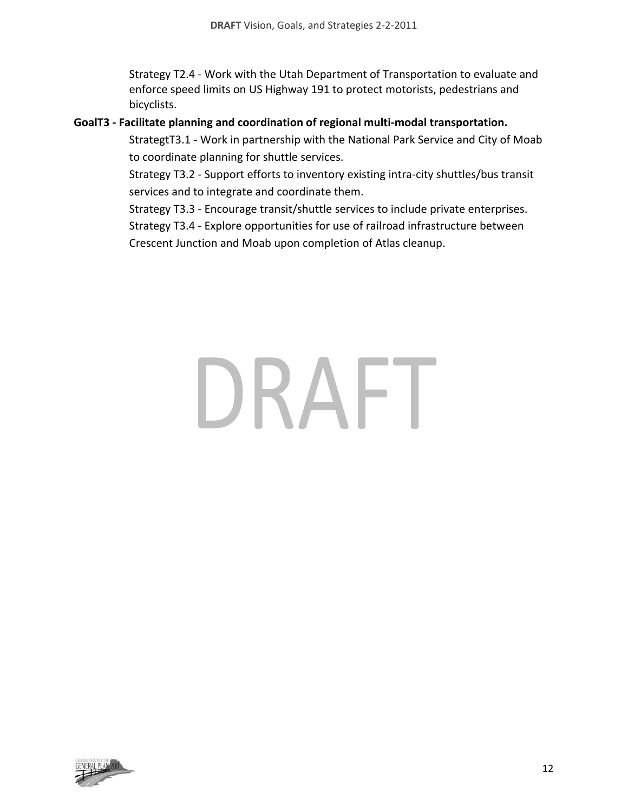Strategy T2.4 ‐ Work with the Utah Department of Transportation to evaluate and enforce speed limits on US Highway 191 to protect motorists, pedestrians and bicyclists.

#### **GoalT3 ‐ Facilitate planning and coordination of regional multi‐modal transportation.**

StrategtT3.1 ‐ Work in partnership with the National Park Service and City of Moab to coordinate planning for shuttle services.

Strategy T3.2 ‐ Support efforts to inventory existing intra‐city shuttles/bus transit services and to integrate and coordinate them.

Strategy T3.3 ‐ Encourage transit/shuttle services to include private enterprises.

Strategy T3.4 ‐ Explore opportunities for use of railroad infrastructure between

Crescent Junction and Moab upon completion of Atlas cleanup.

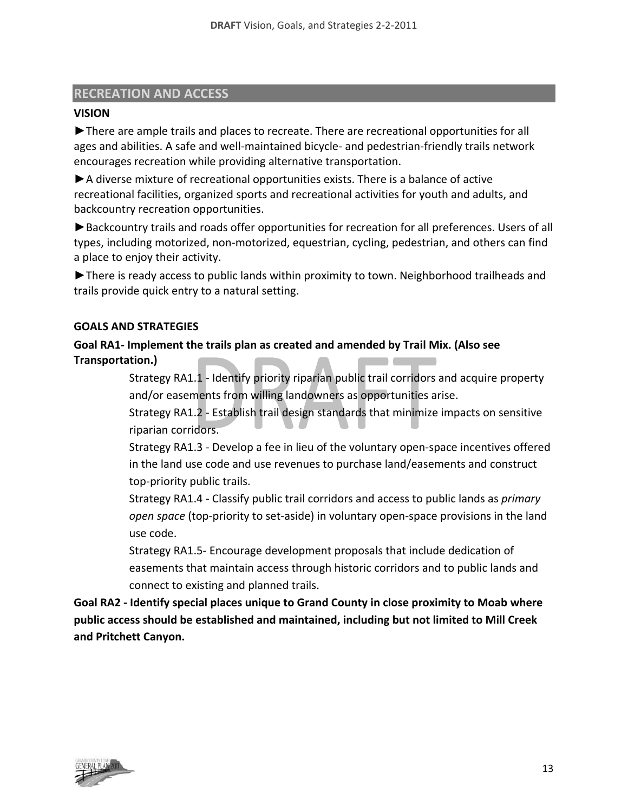#### **RECREATION AND ACCESS**

#### **VISION**

►There are ample trails and places to recreate. There are recreational opportunities for all ages and abilities. A safe and well-maintained bicycle- and pedestrian-friendly trails network encourages recreation while providing alternative transportation.

►A diverse mixture of recreational opportunities exists. There is a balance of active recreational facilities, organized sports and recreational activities for youth and adults, and backcountry recreation opportunities.

►Backcountry trails and roads offer opportunities for recreation for all preferences. Users of all types, including motorized, non‐motorized, equestrian, cycling, pedestrian, and others can find a place to enjoy their activity.

►There is ready access to public lands within proximity to town. Neighborhood trailheads and trails provide quick entry to a natural setting.

#### **GOALS AND STRATEGIES**

**Goal RA1‐ Implement the trails plan as created and amended by Trail Mix. (Also see Transportation.)**

> Strategy RA1.1 ‐ Identify priority riparian public trail corridors and acquire property and/or easements from willing landowners as opportunities arise.

> Strategy RA1.2 ‐ Establish trail design standards that minimize impacts on sensitive riparian corridors.

Strategy RA1.3 ‐ Develop a fee in lieu of the voluntary open‐space incentives offered in the land use code and use revenues to purchase land/easements and construct top‐priority public trails.

Strategy RA1.4 ‐ Classify public trail corridors and access to public lands as *primary open space* (top‐priority to set‐aside) in voluntary open‐space provisions in the land use code.

Strategy RA1.5‐ Encourage development proposals that include dedication of easements that maintain access through historic corridors and to public lands and connect to existing and planned trails.

**Goal RA2 ‐ Identify special places unique to Grand County in close proximity to Moab where public access should be established and maintained, including but not limited to Mill Creek and Pritchett Canyon.**

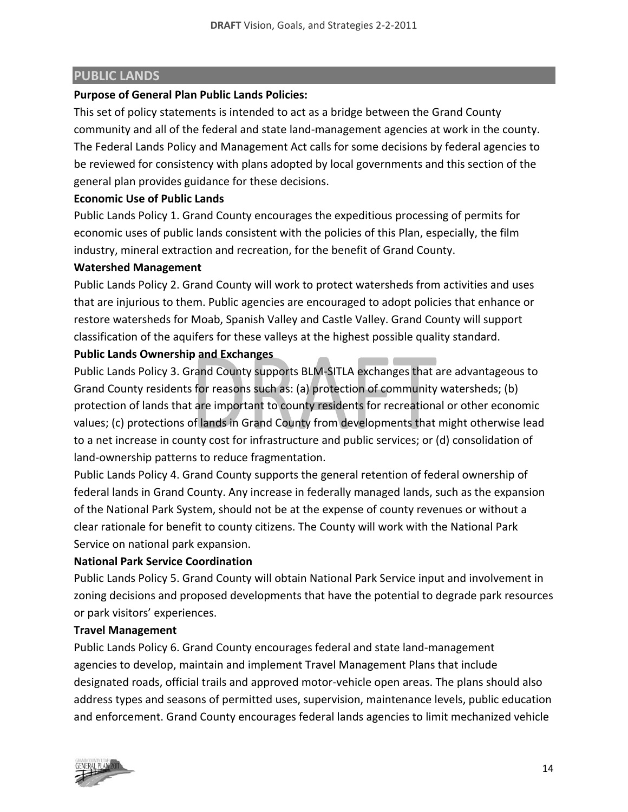# **PUBLIC LANDS**

#### **Purpose of General Plan Public Lands Policies:**

This set of policy statements is intended to act as a bridge between the Grand County community and all of the federal and state land‐management agencies at work in the county. The Federal Lands Policy and Management Act calls for some decisions by federal agencies to be reviewed for consistency with plans adopted by local governments and this section of the general plan provides guidance for these decisions.

#### **Economic Use of Public Lands**

Public Lands Policy 1. Grand County encourages the expeditious processing of permits for economic uses of public lands consistent with the policies of this Plan, especially, the film industry, mineral extraction and recreation, for the benefit of Grand County.

#### **Watershed Management**

Public Lands Policy 2. Grand County will work to protect watersheds from activities and uses that are injurious to them. Public agencies are encouraged to adopt policies that enhance or restore watersheds for Moab, Spanish Valley and Castle Valley. Grand County will support classification of the aquifers for these valleys at the highest possible quality standard.

#### **Public Lands Ownership and Exchanges**

Public Lands Policy 3. Grand County supports BLM‐SITLA exchanges that are advantageous to Grand County residents for reasons such as: (a) protection of community watersheds; (b) protection of lands that are important to county residents for recreational or other economic values; (c) protections of lands in Grand County from developments that might otherwise lead to a net increase in county cost for infrastructure and public services; or (d) consolidation of land‐ownership patterns to reduce fragmentation.

Public Lands Policy 4. Grand County supports the general retention of federal ownership of federal lands in Grand County. Any increase in federally managed lands, such as the expansion of the National Park System, should not be at the expense of county revenues or without a clear rationale for benefit to county citizens. The County will work with the National Park Service on national park expansion.

#### **National Park Service Coordination**

Public Lands Policy 5. Grand County will obtain National Park Service input and involvement in zoning decisions and proposed developments that have the potential to degrade park resources or park visitors' experiences.

#### **Travel Management**

Public Lands Policy 6. Grand County encourages federal and state land‐management agencies to develop, maintain and implement Travel Management Plans that include designated roads, official trails and approved motor‐vehicle open areas. The plans should also address types and seasons of permitted uses, supervision, maintenance levels, public education and enforcement. Grand County encourages federal lands agencies to limit mechanized vehicle

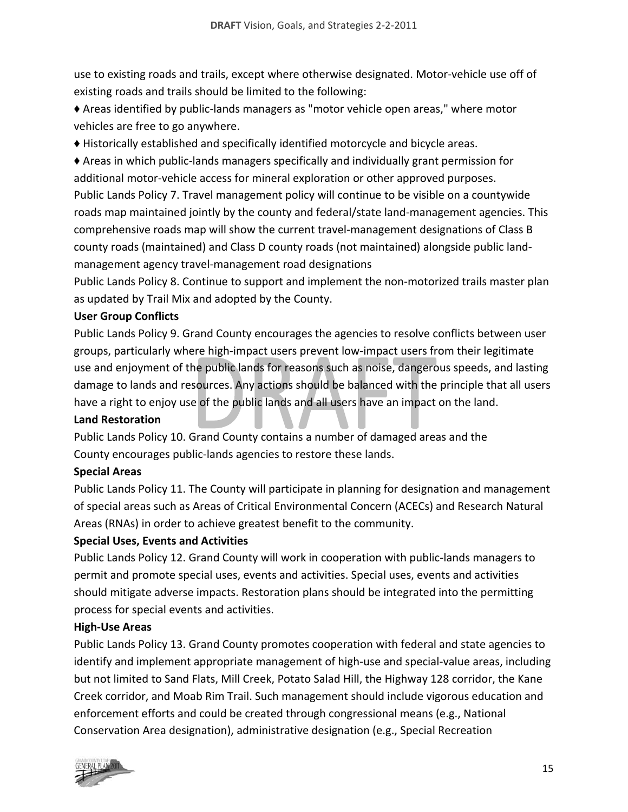use to existing roads and trails, except where otherwise designated. Motor‐vehicle use off of existing roads and trails should be limited to the following:

♦ Areas identified by public‐lands managers as "motor vehicle open areas," where motor vehicles are free to go anywhere.

♦ Historically established and specifically identified motorcycle and bicycle areas.

♦ Areas in which public‐lands managers specifically and individually grant permission for additional motor‐vehicle access for mineral exploration or other approved purposes. Public Lands Policy 7. Travel management policy will continue to be visible on a countywide roads map maintained jointly by the county and federal/state land‐management agencies. This comprehensive roads map will show the current travel‐management designations of Class B county roads (maintained) and Class D county roads (not maintained) alongside public land‐ management agency travel‐management road designations

Public Lands Policy 8. Continue to support and implement the non-motorized trails master plan as updated by Trail Mix and adopted by the County.

# **User Group Conflicts**

Public Lands Policy 9. Grand County encourages the agencies to resolve conflicts between user groups, particularly where high‐impact users prevent low‐impact users from their legitimate use and enjoyment of the public lands for reasons such as noise, dangerous speeds, and lasting damage to lands and resources. Any actions should be balanced with the principle that all users have a right to enjoy use of the public lands and all users have an impact on the land.

# **Land Restoration**

Public Lands Policy 10. Grand County contains a number of damaged areas and the County encourages public‐lands agencies to restore these lands.

# **Special Areas**

Public Lands Policy 11. The County will participate in planning for designation and management of special areas such as Areas of Critical Environmental Concern (ACECs) and Research Natural Areas (RNAs) in order to achieve greatest benefit to the community.

# **Special Uses, Events and Activities**

Public Lands Policy 12. Grand County will work in cooperation with public‐lands managers to permit and promote special uses, events and activities. Special uses, events and activities should mitigate adverse impacts. Restoration plans should be integrated into the permitting process for special events and activities.

# **High‐Use Areas**

Public Lands Policy 13. Grand County promotes cooperation with federal and state agencies to identify and implement appropriate management of high‐use and special‐value areas, including but not limited to Sand Flats, Mill Creek, Potato Salad Hill, the Highway 128 corridor, the Kane Creek corridor, and Moab Rim Trail. Such management should include vigorous education and enforcement efforts and could be created through congressional means (e.g., National Conservation Area designation), administrative designation (e.g., Special Recreation

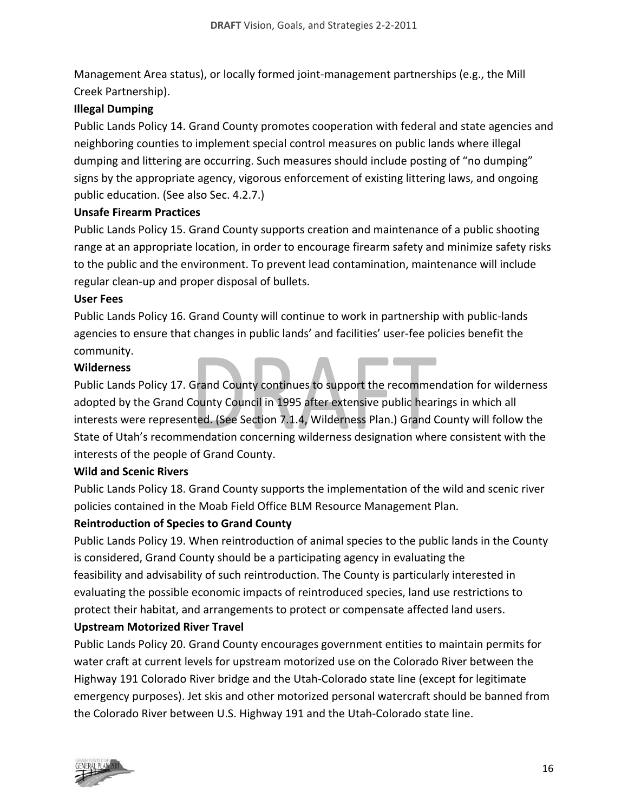Management Area status), or locally formed joint‐management partnerships (e.g., the Mill Creek Partnership).

# **Illegal Dumping**

Public Lands Policy 14. Grand County promotes cooperation with federal and state agencies and neighboring counties to implement special control measures on public lands where illegal dumping and littering are occurring. Such measures should include posting of "no dumping" signs by the appropriate agency, vigorous enforcement of existing littering laws, and ongoing public education. (See also Sec. 4.2.7.)

#### **Unsafe Firearm Practices**

Public Lands Policy 15. Grand County supports creation and maintenance of a public shooting range at an appropriate location, in order to encourage firearm safety and minimize safety risks to the public and the environment. To prevent lead contamination, maintenance will include regular clean‐up and proper disposal of bullets.

#### **User Fees**

Public Lands Policy 16. Grand County will continue to work in partnership with public‐lands agencies to ensure that changes in public lands' and facilities' user‐fee policies benefit the community.

#### **Wilderness**

Public Lands Policy 17. Grand County continues to support the recommendation for wilderness adopted by the Grand County Council in 1995 after extensive public hearings in which all interests were represented. (See Section 7.1.4, Wilderness Plan.) Grand County will follow the State of Utah's recommendation concerning wilderness designation where consistent with the interests of the people of Grand County.

#### **Wild and Scenic Rivers**

Public Lands Policy 18. Grand County supports the implementation of the wild and scenic river policies contained in the Moab Field Office BLM Resource Management Plan.

#### **Reintroduction of Species to Grand County**

Public Lands Policy 19. When reintroduction of animal species to the public lands in the County is considered, Grand County should be a participating agency in evaluating the feasibility and advisability of such reintroduction. The County is particularly interested in evaluating the possible economic impacts of reintroduced species, land use restrictions to protect their habitat, and arrangements to protect or compensate affected land users.

#### **Upstream Motorized River Travel**

Public Lands Policy 20. Grand County encourages government entities to maintain permits for water craft at current levels for upstream motorized use on the Colorado River between the Highway 191 Colorado River bridge and the Utah‐Colorado state line (except for legitimate emergency purposes). Jet skis and other motorized personal watercraft should be banned from the Colorado River between U.S. Highway 191 and the Utah‐Colorado state line.